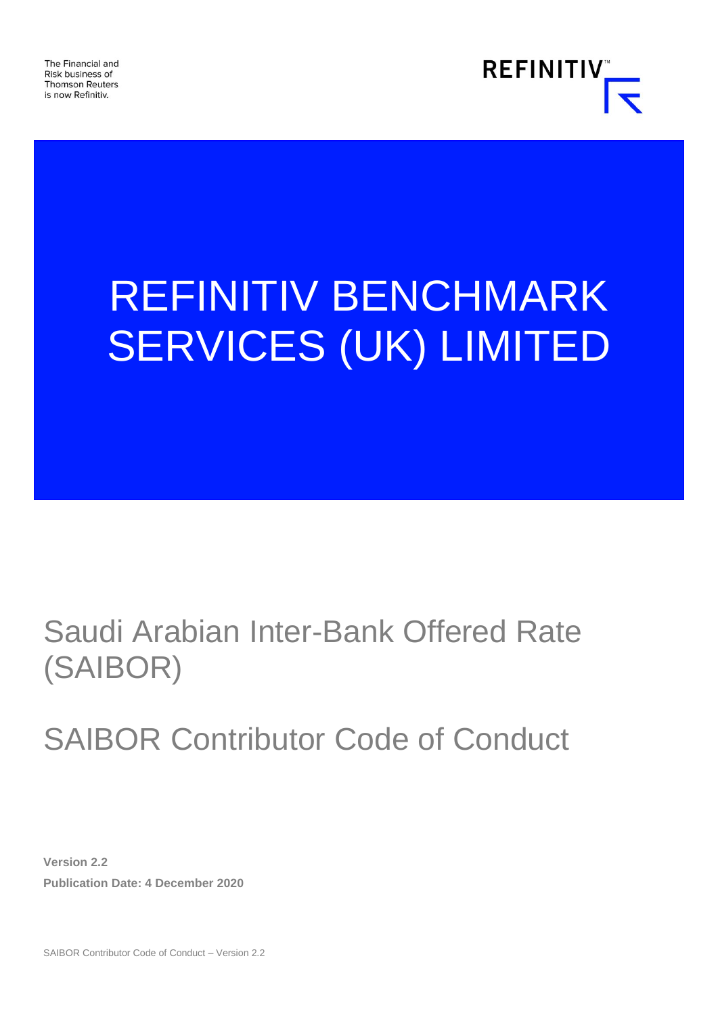The Financial and Risk business of **Thomson Reuters** is now Refinitiv.



# REFINITIV BENCHMARK SERVICES (UK) LIMITED

## Saudi Arabian Inter-Bank Offered Rate (SAIBOR)

## SAIBOR Contributor Code of Conduct

**Version 2.2 Publication Date: 4 December 2020**

SAIBOR Contributor Code of Conduct – Version 2.2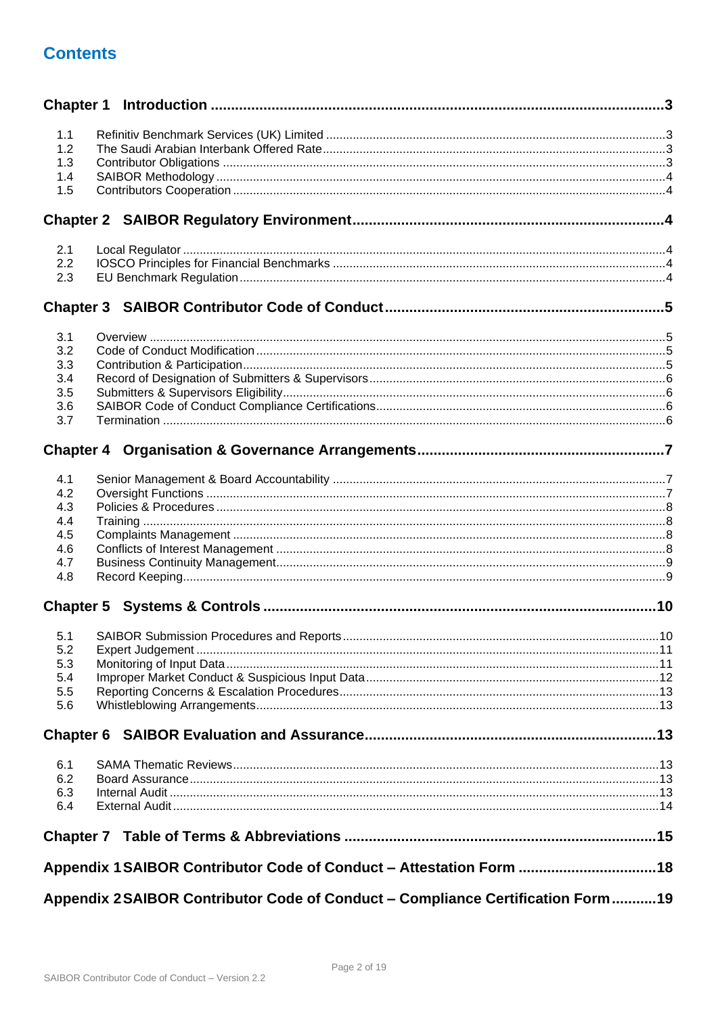## **Contents**

| 1.1        |                                                                                |  |
|------------|--------------------------------------------------------------------------------|--|
| 1.2        |                                                                                |  |
| 1.3        |                                                                                |  |
| 1.4        |                                                                                |  |
| 1.5        |                                                                                |  |
|            |                                                                                |  |
| 2.1        |                                                                                |  |
| 2.2        |                                                                                |  |
| 2.3        |                                                                                |  |
|            |                                                                                |  |
| 3.1        |                                                                                |  |
| 3.2        |                                                                                |  |
| 3.3        |                                                                                |  |
| 3.4        |                                                                                |  |
| 3.5<br>3.6 |                                                                                |  |
| 3.7        |                                                                                |  |
|            |                                                                                |  |
| 4.1        |                                                                                |  |
| 4.2        |                                                                                |  |
| 4.3        |                                                                                |  |
| 4.4        |                                                                                |  |
| 4.5<br>4.6 |                                                                                |  |
| 4.7        |                                                                                |  |
| 4.8        |                                                                                |  |
|            |                                                                                |  |
| 5.1        |                                                                                |  |
| 5.2        |                                                                                |  |
| 5.3        |                                                                                |  |
| 5.4        |                                                                                |  |
| 5.5        |                                                                                |  |
| 5.6        |                                                                                |  |
|            |                                                                                |  |
| 6.1        |                                                                                |  |
| 6.2        |                                                                                |  |
| 6.3<br>6.4 |                                                                                |  |
|            |                                                                                |  |
|            |                                                                                |  |
|            | Appendix 1 SAIBOR Contributor Code of Conduct - Attestation Form 18            |  |
|            | Appendix 2SAIBOR Contributor Code of Conduct - Compliance Certification Form19 |  |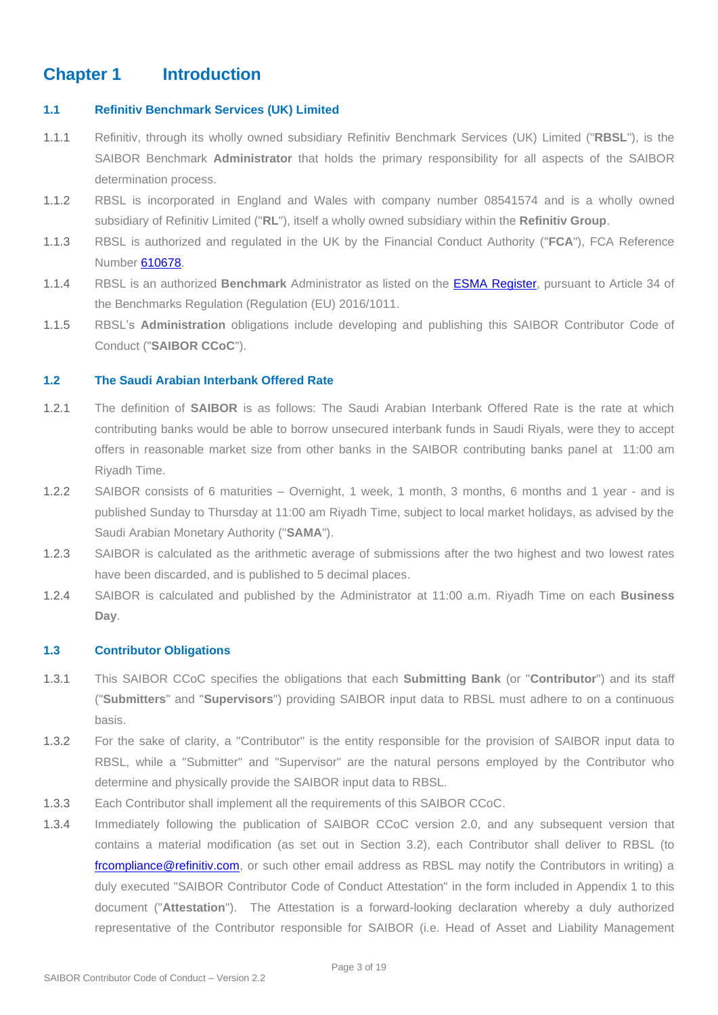## <span id="page-2-0"></span>**Chapter 1 Introduction**

#### <span id="page-2-1"></span>**1.1 Refinitiv Benchmark Services (UK) Limited**

- 1.1.1 Refinitiv, through its wholly owned subsidiary Refinitiv Benchmark Services (UK) Limited ("**RBSL**"), is the SAIBOR Benchmark **Administrator** that holds the primary responsibility for all aspects of the SAIBOR determination process.
- 1.1.2 RBSL is incorporated in England and Wales with company number 08541574 and is a wholly owned subsidiary of Refinitiv Limited ("**RL**"), itself a wholly owned subsidiary within the **Refinitiv Group**.
- 1.1.3 RBSL is authorized and regulated in the UK by the Financial Conduct Authority ("**FCA**"), FCA Reference Number [610678.](https://register.fca.org.uk/ShPo_FirmDetailsPage?id=001b000000NMhY4AAL)
- 1.1.4 RBSL is an authorized **Benchmark** Administrator as listed on the [ESMA Register,](https://registers.esma.europa.eu/publication/searchRegister?core=esma_registers_bench_entities) pursuant to Article 34 of the Benchmarks Regulation (Regulation (EU) 2016/1011.
- 1.1.5 RBSL's **Administration** obligations include developing and publishing this SAIBOR Contributor Code of Conduct ("**SAIBOR CCoC**").

#### <span id="page-2-2"></span>**1.2 The Saudi Arabian Interbank Offered Rate**

- 1.2.1 The definition of **SAIBOR** is as follows: The Saudi Arabian Interbank Offered Rate is the rate at which contributing banks would be able to borrow unsecured interbank funds in Saudi Riyals, were they to accept offers in reasonable market size from other banks in the SAIBOR contributing banks panel at 11:00 am Riyadh Time.
- 1.2.2 SAIBOR consists of 6 maturities Overnight, 1 week, 1 month, 3 months, 6 months and 1 year and is published Sunday to Thursday at 11:00 am Riyadh Time, subject to local market holidays, as advised by the Saudi Arabian Monetary Authority ("**SAMA**").
- 1.2.3 SAIBOR is calculated as the arithmetic average of submissions after the two highest and two lowest rates have been discarded, and is published to 5 decimal places.
- 1.2.4 SAIBOR is calculated and published by the Administrator at 11:00 a.m. Riyadh Time on each **Business Day**.

#### <span id="page-2-3"></span>**1.3 Contributor Obligations**

- 1.3.1 This SAIBOR CCoC specifies the obligations that each **Submitting Bank** (or "**Contributor**") and its staff ("**Submitters**" and "**Supervisors**") providing SAIBOR input data to RBSL must adhere to on a continuous basis.
- 1.3.2 For the sake of clarity, a "Contributor" is the entity responsible for the provision of SAIBOR input data to RBSL, while a "Submitter" and "Supervisor" are the natural persons employed by the Contributor who determine and physically provide the SAIBOR input data to RBSL.
- 1.3.3 Each Contributor shall implement all the requirements of this SAIBOR CCoC.
- 1.3.4 Immediately following the publication of SAIBOR CCoC version 2.0, and any subsequent version that contains a material modification (as set out in Section 3.2), each Contributor shall deliver to RBSL (to frompliance@refinitiv.com, or such other email address as RBSL may notify the Contributors in writing) a duly executed "SAIBOR Contributor Code of Conduct Attestation" in the form included in Appendix 1 to this document ("**Attestation**"). The Attestation is a forward-looking declaration whereby a duly authorized representative of the Contributor responsible for SAIBOR (i.e. Head of Asset and Liability Management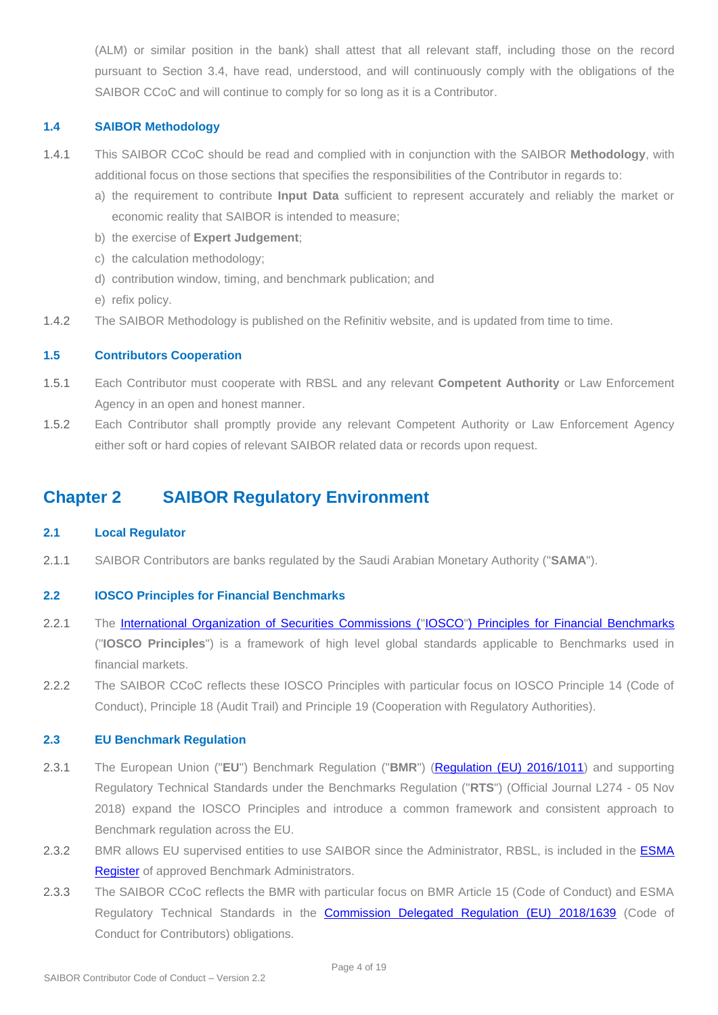(ALM) or similar position in the bank) shall attest that all relevant staff, including those on the record pursuant to Section 3.4, have read, understood, and will continuously comply with the obligations of the SAIBOR CCoC and will continue to comply for so long as it is a Contributor.

#### <span id="page-3-0"></span>**1.4 SAIBOR Methodology**

- 1.4.1 This SAIBOR CCoC should be read and complied with in conjunction with the SAIBOR **Methodology**, with additional focus on those sections that specifies the responsibilities of the Contributor in regards to:
	- a) the requirement to contribute **Input Data** sufficient to represent accurately and reliably the market or economic reality that SAIBOR is intended to measure;
	- b) the exercise of **Expert Judgement**;
	- c) the calculation methodology;
	- d) contribution window, timing, and benchmark publication; and
	- e) refix policy.
- 1.4.2 The SAIBOR Methodology is published on the Refinitiv website, and is updated from time to time.

#### <span id="page-3-1"></span>**1.5 Contributors Cooperation**

- 1.5.1 Each Contributor must cooperate with RBSL and any relevant **Competent Authority** or Law Enforcement Agency in an open and honest manner.
- 1.5.2 Each Contributor shall promptly provide any relevant Competent Authority or Law Enforcement Agency either soft or hard copies of relevant SAIBOR related data or records upon request.

### <span id="page-3-2"></span>**Chapter 2 SAIBOR Regulatory Environment**

#### <span id="page-3-3"></span>**2.1 Local Regulator**

2.1.1 SAIBOR Contributors are banks regulated by the Saudi Arabian Monetary Authority ("**SAMA**").

#### <span id="page-3-4"></span>**2.2 IOSCO Principles for Financial Benchmarks**

- 2.2.1 The [International Organization of Securities Commissions \("IOSCO"\) Principles for Financial Benchmarks](https://www.iosco.org/library/pubdocs/pdf/IOSCOPD415.pdf) ("**IOSCO Principles**") is a framework of high level global standards applicable to Benchmarks used in financial markets.
- 2.2.2 The SAIBOR CCoC reflects these IOSCO Principles with particular focus on IOSCO Principle 14 (Code of Conduct), Principle 18 (Audit Trail) and Principle 19 (Cooperation with Regulatory Authorities).

#### <span id="page-3-5"></span>**2.3 EU Benchmark Regulation**

- 2.3.1 The European Union ("**EU**") Benchmark Regulation ("**BMR**") [\(Regulation \(EU\) 2016/1011\)](https://eur-lex.europa.eu/legal-content/EN/TXT/PDF/?uri=CELEX:32016R1011&from=EN) and supporting Regulatory Technical Standards under the Benchmarks Regulation ("**RTS**") (Official Journal L274 - 05 Nov 2018) expand the IOSCO Principles and introduce a common framework and consistent approach to Benchmark regulation across the EU.
- 2.3.2 BMR allows EU supervised entities to use SAIBOR since the Administrator, RBSL, is included in the ESMA [Register](https://registers.esma.europa.eu/publication/searchRegister?core=esma_registers_bench_entities) of approved Benchmark Administrators.
- 2.3.3 The SAIBOR CCoC reflects the BMR with particular focus on BMR Article 15 (Code of Conduct) and ESMA Regulatory Technical Standards in the [Commission Delegated Regulation \(EU\)](https://eur-lex.europa.eu/legal-content/EN/TXT/PDF/?uri=CELEX:32018R1639&from=EN) 2018/1639 (Code of Conduct for Contributors) obligations.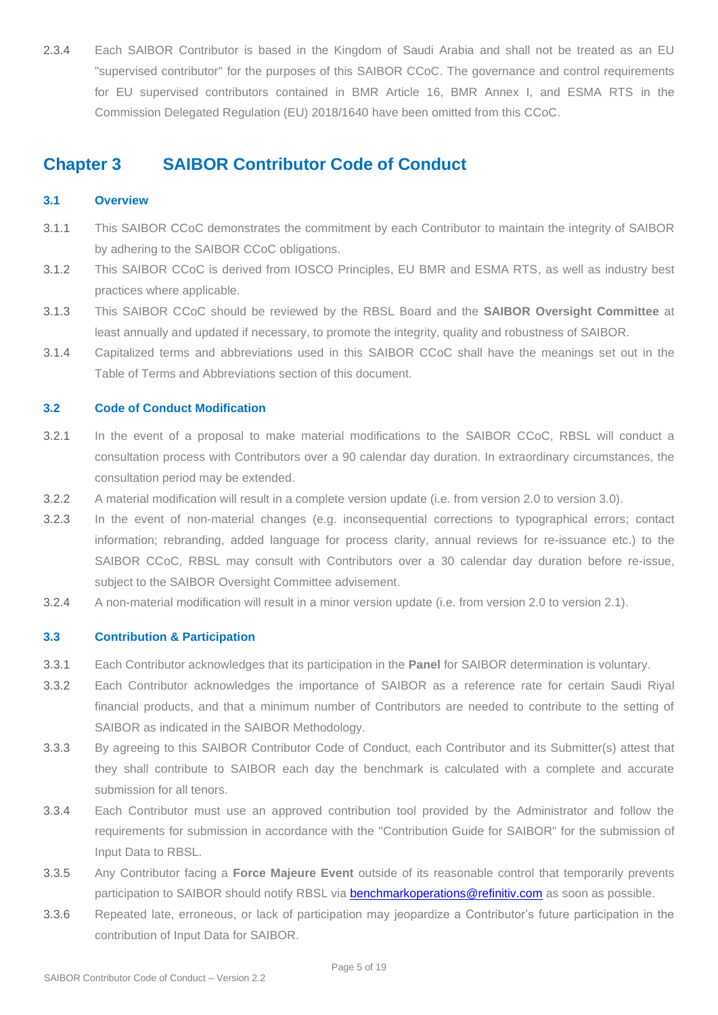2.3.4 Each SAIBOR Contributor is based in the Kingdom of Saudi Arabia and shall not be treated as an EU "supervised contributor" for the purposes of this SAIBOR CCoC. The governance and control requirements for EU supervised contributors contained in BMR Article 16, BMR Annex I, and ESMA RTS in the Commission Delegated Regulation (EU) 2018/1640 have been omitted from this CCoC.

## <span id="page-4-0"></span>**Chapter 3 SAIBOR Contributor Code of Conduct**

#### <span id="page-4-1"></span>**3.1 Overview**

- 3.1.1 This SAIBOR CCoC demonstrates the commitment by each Contributor to maintain the integrity of SAIBOR by adhering to the SAIBOR CCoC obligations.
- 3.1.2 This SAIBOR CCoC is derived from IOSCO Principles, EU BMR and ESMA RTS, as well as industry best practices where applicable.
- 3.1.3 This SAIBOR CCoC should be reviewed by the RBSL Board and the **SAIBOR Oversight Committee** at least annually and updated if necessary, to promote the integrity, quality and robustness of SAIBOR.
- 3.1.4 Capitalized terms and abbreviations used in this SAIBOR CCoC shall have the meanings set out in the Table of Terms and Abbreviations section of this document.

#### <span id="page-4-2"></span>**3.2 Code of Conduct Modification**

- 3.2.1 In the event of a proposal to make material modifications to the SAIBOR CCoC, RBSL will conduct a consultation process with Contributors over a 90 calendar day duration. In extraordinary circumstances, the consultation period may be extended.
- 3.2.2 A material modification will result in a complete version update (i.e. from version 2.0 to version 3.0).
- 3.2.3 In the event of non-material changes (e.g. inconsequential corrections to typographical errors; contact information; rebranding, added language for process clarity, annual reviews for re-issuance etc.) to the SAIBOR CCoC, RBSL may consult with Contributors over a 30 calendar day duration before re-issue, subject to the SAIBOR Oversight Committee advisement.
- 3.2.4 A non-material modification will result in a minor version update (i.e. from version 2.0 to version 2.1).

#### <span id="page-4-3"></span>**3.3 Contribution & Participation**

- 3.3.1 Each Contributor acknowledges that its participation in the **Panel** for SAIBOR determination is voluntary.
- 3.3.2 Each Contributor acknowledges the importance of SAIBOR as a reference rate for certain Saudi Riyal financial products, and that a minimum number of Contributors are needed to contribute to the setting of SAIBOR as indicated in the SAIBOR Methodology.
- 3.3.3 By agreeing to this SAIBOR Contributor Code of Conduct, each Contributor and its Submitter(s) attest that they shall contribute to SAIBOR each day the benchmark is calculated with a complete and accurate submission for all tenors.
- 3.3.4 Each Contributor must use an approved contribution tool provided by the Administrator and follow the requirements for submission in accordance with the "Contribution Guide for SAIBOR" for the submission of Input Data to RBSL.
- 3.3.5 Any Contributor facing a **Force Majeure Event** outside of its reasonable control that temporarily prevents participation to SAIBOR should notify RBSL via [benchmarkoperations@refinitiv.com](mailto:benchmarkoperations@refinitiv.com) as soon as possible.
- 3.3.6 Repeated late, erroneous, or lack of participation may jeopardize a Contributor's future participation in the contribution of Input Data for SAIBOR.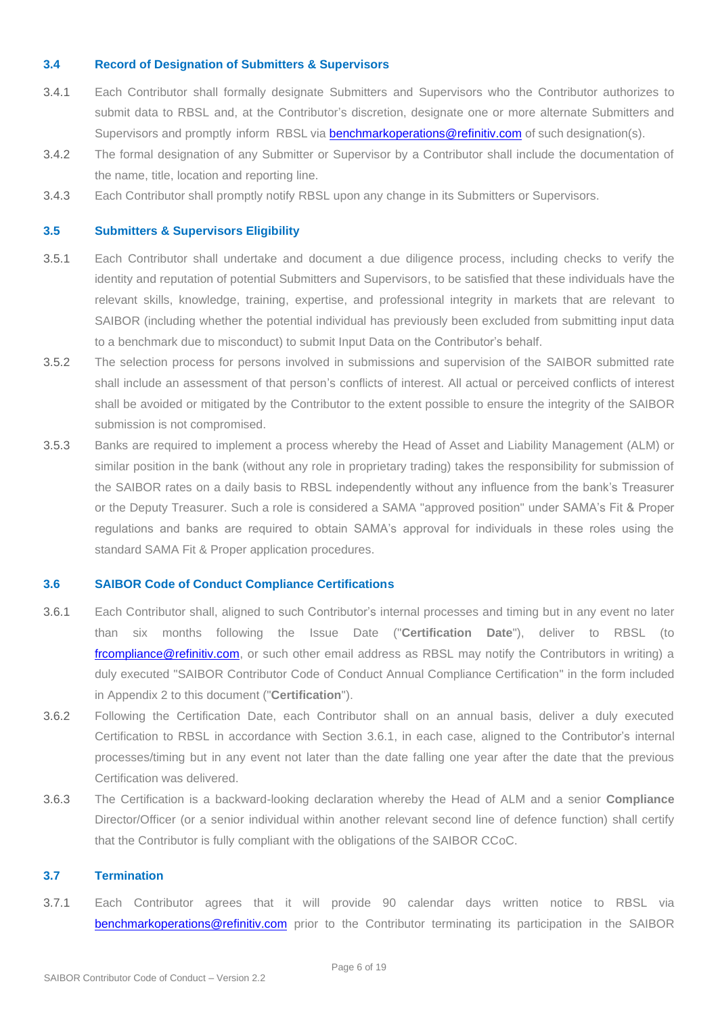#### <span id="page-5-0"></span>**3.4 Record of Designation of Submitters & Supervisors**

- 3.4.1 Each Contributor shall formally designate Submitters and Supervisors who the Contributor authorizes to submit data to RBSL and, at the Contributor's discretion, designate one or more alternate Submitters and Supervisors and promptly inform RBSL via [benchmarkoperations@refinitiv.com](mailto:benchmarkoperations@refinitiv.com) of such designation(s).
- 3.4.2 The formal designation of any Submitter or Supervisor by a Contributor shall include the documentation of the name, title, location and reporting line.
- 3.4.3 Each Contributor shall promptly notify RBSL upon any change in its Submitters or Supervisors.

#### <span id="page-5-1"></span>**3.5 Submitters & Supervisors Eligibility**

- 3.5.1 Each Contributor shall undertake and document a due diligence process, including checks to verify the identity and reputation of potential Submitters and Supervisors, to be satisfied that these individuals have the relevant skills, knowledge, training, expertise, and professional integrity in markets that are relevant to SAIBOR (including whether the potential individual has previously been excluded from submitting input data to a benchmark due to misconduct) to submit Input Data on the Contributor's behalf.
- 3.5.2 The selection process for persons involved in submissions and supervision of the SAIBOR submitted rate shall include an assessment of that person's conflicts of interest. All actual or perceived conflicts of interest shall be avoided or mitigated by the Contributor to the extent possible to ensure the integrity of the SAIBOR submission is not compromised.
- 3.5.3 Banks are required to implement a process whereby the Head of Asset and Liability Management (ALM) or similar position in the bank (without any role in proprietary trading) takes the responsibility for submission of the SAIBOR rates on a daily basis to RBSL independently without any influence from the bank's Treasurer or the Deputy Treasurer. Such a role is considered a SAMA "approved position" under SAMA's Fit & Proper regulations and banks are required to obtain SAMA's approval for individuals in these roles using the standard SAMA Fit & Proper application procedures.

#### <span id="page-5-2"></span>**3.6 SAIBOR Code of Conduct Compliance Certifications**

- 3.6.1 Each Contributor shall, aligned to such Contributor's internal processes and timing but in any event no later than six months following the Issue Date ("**Certification Date**"), deliver to RBSL (to [frcompliance@refinitiv.com,](mailto:frcompliance@refinitiv.com) or such other email address as RBSL may notify the Contributors in writing) a duly executed "SAIBOR Contributor Code of Conduct Annual Compliance Certification" in the form included in Appendix 2 to this document ("**Certification**").
- 3.6.2 Following the Certification Date, each Contributor shall on an annual basis, deliver a duly executed Certification to RBSL in accordance with Section 3.6.1, in each case, aligned to the Contributor's internal processes/timing but in any event not later than the date falling one year after the date that the previous Certification was delivered.
- 3.6.3 The Certification is a backward-looking declaration whereby the Head of ALM and a senior **Compliance** Director/Officer (or a senior individual within another relevant second line of defence function) shall certify that the Contributor is fully compliant with the obligations of the SAIBOR CCoC.

#### <span id="page-5-3"></span>**3.7 Termination**

3.7.1 Each Contributor agrees that it will provide 90 calendar days written notice to RBSL via [benchmarkoperations@refinitiv.com](mailto:benchmarkoperations@refinitiv.com) prior to the Contributor terminating its participation in the SAIBOR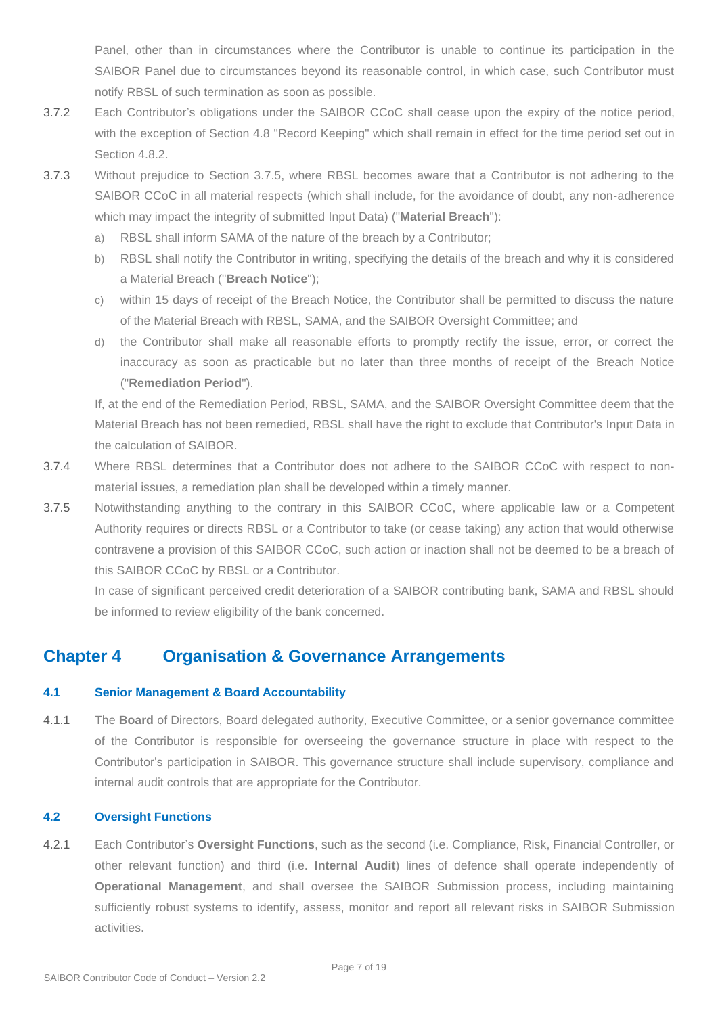Panel, other than in circumstances where the Contributor is unable to continue its participation in the SAIBOR Panel due to circumstances beyond its reasonable control, in which case, such Contributor must notify RBSL of such termination as soon as possible.

- 3.7.2 Each Contributor's obligations under the SAIBOR CCoC shall cease upon the expiry of the notice period, with the exception of Section 4.8 "Record Keeping" which shall remain in effect for the time period set out in Section 4.8.2.
- 3.7.3 Without prejudice to Section 3.7.5, where RBSL becomes aware that a Contributor is not adhering to the SAIBOR CCoC in all material respects (which shall include, for the avoidance of doubt, any non-adherence which may impact the integrity of submitted Input Data) ("**Material Breach**"):
	- a) RBSL shall inform SAMA of the nature of the breach by a Contributor;
	- b) RBSL shall notify the Contributor in writing, specifying the details of the breach and why it is considered a Material Breach ("**Breach Notice**");
	- c) within 15 days of receipt of the Breach Notice, the Contributor shall be permitted to discuss the nature of the Material Breach with RBSL, SAMA, and the SAIBOR Oversight Committee; and
	- d) the Contributor shall make all reasonable efforts to promptly rectify the issue, error, or correct the inaccuracy as soon as practicable but no later than three months of receipt of the Breach Notice ("**Remediation Period**").

If, at the end of the Remediation Period, RBSL, SAMA, and the SAIBOR Oversight Committee deem that the Material Breach has not been remedied, RBSL shall have the right to exclude that Contributor's Input Data in the calculation of SAIBOR.

- 3.7.4 Where RBSL determines that a Contributor does not adhere to the SAIBOR CCoC with respect to nonmaterial issues, a remediation plan shall be developed within a timely manner.
- 3.7.5 Notwithstanding anything to the contrary in this SAIBOR CCoC, where applicable law or a Competent Authority requires or directs RBSL or a Contributor to take (or cease taking) any action that would otherwise contravene a provision of this SAIBOR CCoC, such action or inaction shall not be deemed to be a breach of this SAIBOR CCoC by RBSL or a Contributor.

In case of significant perceived credit deterioration of a SAIBOR contributing bank, SAMA and RBSL should be informed to review eligibility of the bank concerned.

## <span id="page-6-0"></span>**Chapter 4 Organisation & Governance Arrangements**

#### <span id="page-6-1"></span>**4.1 Senior Management & Board Accountability**

4.1.1 The **Board** of Directors, Board delegated authority, Executive Committee, or a senior governance committee of the Contributor is responsible for overseeing the governance structure in place with respect to the Contributor's participation in SAIBOR. This governance structure shall include supervisory, compliance and internal audit controls that are appropriate for the Contributor.

#### <span id="page-6-2"></span>**4.2 Oversight Functions**

4.2.1 Each Contributor's **Oversight Functions**, such as the second (i.e. Compliance, Risk, Financial Controller, or other relevant function) and third (i.e. **Internal Audit**) lines of defence shall operate independently of **Operational Management**, and shall oversee the SAIBOR Submission process, including maintaining sufficiently robust systems to identify, assess, monitor and report all relevant risks in SAIBOR Submission activities.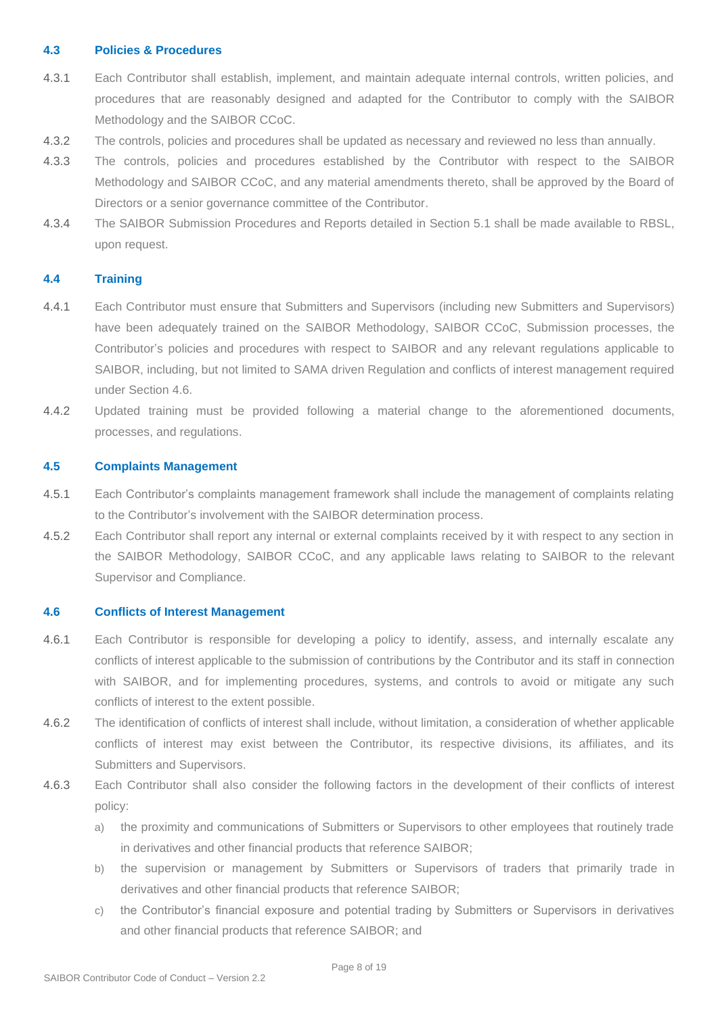#### <span id="page-7-0"></span>**4.3 Policies & Procedures**

- 4.3.1 Each Contributor shall establish, implement, and maintain adequate internal controls, written policies, and procedures that are reasonably designed and adapted for the Contributor to comply with the SAIBOR Methodology and the SAIBOR CCoC.
- 4.3.2 The controls, policies and procedures shall be updated as necessary and reviewed no less than annually.
- 4.3.3 The controls, policies and procedures established by the Contributor with respect to the SAIBOR Methodology and SAIBOR CCoC, and any material amendments thereto, shall be approved by the Board of Directors or a senior governance committee of the Contributor.
- 4.3.4 The SAIBOR Submission Procedures and Reports detailed in Section 5.1 shall be made available to RBSL, upon request.

#### <span id="page-7-1"></span>**4.4 Training**

- 4.4.1 Each Contributor must ensure that Submitters and Supervisors (including new Submitters and Supervisors) have been adequately trained on the SAIBOR Methodology, SAIBOR CCoC, Submission processes, the Contributor's policies and procedures with respect to SAIBOR and any relevant regulations applicable to SAIBOR, including, but not limited to SAMA driven Regulation and conflicts of interest management required under Section 4.6.
- 4.4.2 Updated training must be provided following a material change to the aforementioned documents, processes, and regulations.

#### <span id="page-7-2"></span>**4.5 Complaints Management**

- 4.5.1 Each Contributor's complaints management framework shall include the management of complaints relating to the Contributor's involvement with the SAIBOR determination process.
- 4.5.2 Each Contributor shall report any internal or external complaints received by it with respect to any section in the SAIBOR Methodology, SAIBOR CCoC, and any applicable laws relating to SAIBOR to the relevant Supervisor and Compliance.

#### <span id="page-7-3"></span>**4.6 Conflicts of Interest Management**

- 4.6.1 Each Contributor is responsible for developing a policy to identify, assess, and internally escalate any conflicts of interest applicable to the submission of contributions by the Contributor and its staff in connection with SAIBOR, and for implementing procedures, systems, and controls to avoid or mitigate any such conflicts of interest to the extent possible.
- 4.6.2 The identification of conflicts of interest shall include, without limitation, a consideration of whether applicable conflicts of interest may exist between the Contributor, its respective divisions, its affiliates, and its Submitters and Supervisors.
- 4.6.3 Each Contributor shall also consider the following factors in the development of their conflicts of interest policy:
	- a) the proximity and communications of Submitters or Supervisors to other employees that routinely trade in derivatives and other financial products that reference SAIBOR;
	- b) the supervision or management by Submitters or Supervisors of traders that primarily trade in derivatives and other financial products that reference SAIBOR;
	- c) the Contributor's financial exposure and potential trading by Submitters or Supervisors in derivatives and other financial products that reference SAIBOR; and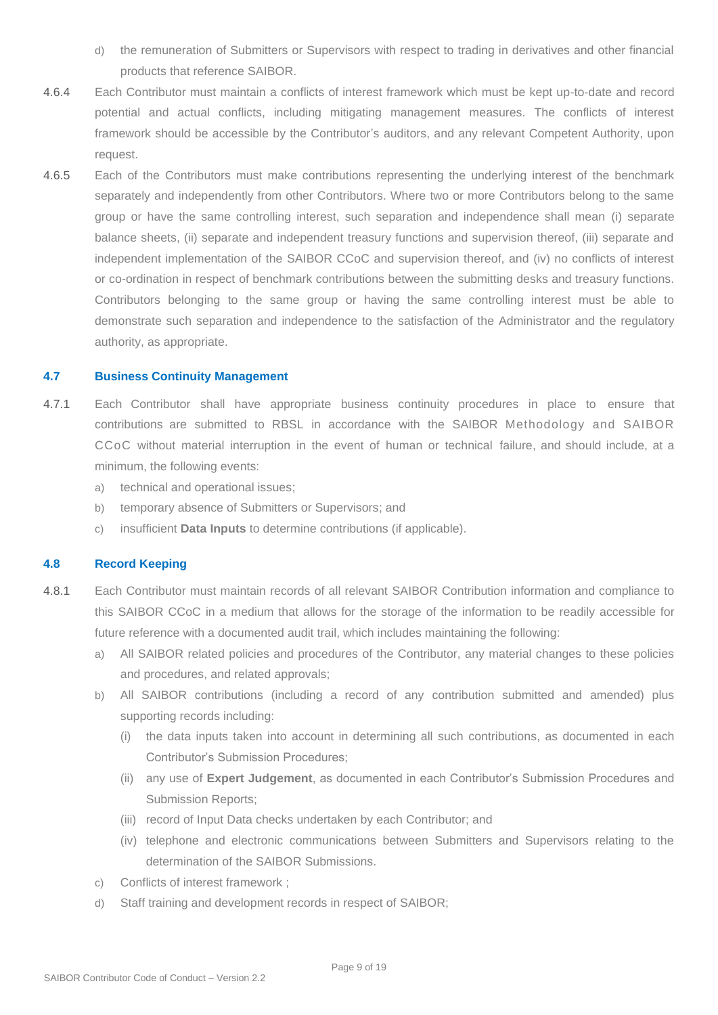- d) the remuneration of Submitters or Supervisors with respect to trading in derivatives and other financial products that reference SAIBOR.
- 4.6.4 Each Contributor must maintain a conflicts of interest framework which must be kept up-to-date and record potential and actual conflicts, including mitigating management measures. The conflicts of interest framework should be accessible by the Contributor's auditors, and any relevant Competent Authority, upon request.
- 4.6.5 Each of the Contributors must make contributions representing the underlying interest of the benchmark separately and independently from other Contributors. Where two or more Contributors belong to the same group or have the same controlling interest, such separation and independence shall mean (i) separate balance sheets, (ii) separate and independent treasury functions and supervision thereof, (iii) separate and independent implementation of the SAIBOR CCoC and supervision thereof, and (iv) no conflicts of interest or co-ordination in respect of benchmark contributions between the submitting desks and treasury functions. Contributors belonging to the same group or having the same controlling interest must be able to demonstrate such separation and independence to the satisfaction of the Administrator and the regulatory authority, as appropriate.

#### <span id="page-8-0"></span>**4.7 Business Continuity Management**

- 4.7.1 Each Contributor shall have appropriate business continuity procedures in place to ensure that contributions are submitted to RBSL in accordance with the SAIBOR Methodology and SAIBOR CCoC without material interruption in the event of human or technical failure, and should include, at a minimum, the following events:
	- a) technical and operational issues;
	- b) temporary absence of Submitters or Supervisors; and
	- c) insufficient **Data Inputs** to determine contributions (if applicable).

#### <span id="page-8-1"></span>**4.8 Record Keeping**

- 4.8.1 Each Contributor must maintain records of all relevant SAIBOR Contribution information and compliance to this SAIBOR CCoC in a medium that allows for the storage of the information to be readily accessible for future reference with a documented audit trail, which includes maintaining the following:
	- a) All SAIBOR related policies and procedures of the Contributor, any material changes to these policies and procedures, and related approvals;
	- b) All SAIBOR contributions (including a record of any contribution submitted and amended) plus supporting records including:
		- (i) the data inputs taken into account in determining all such contributions, as documented in each Contributor's Submission Procedures;
		- (ii) any use of **Expert Judgement**, as documented in each Contributor's Submission Procedures and Submission Reports;
		- (iii) record of Input Data checks undertaken by each Contributor; and
		- (iv) telephone and electronic communications between Submitters and Supervisors relating to the determination of the SAIBOR Submissions.
	- c) Conflicts of interest framework ;
	- d) Staff training and development records in respect of SAIBOR;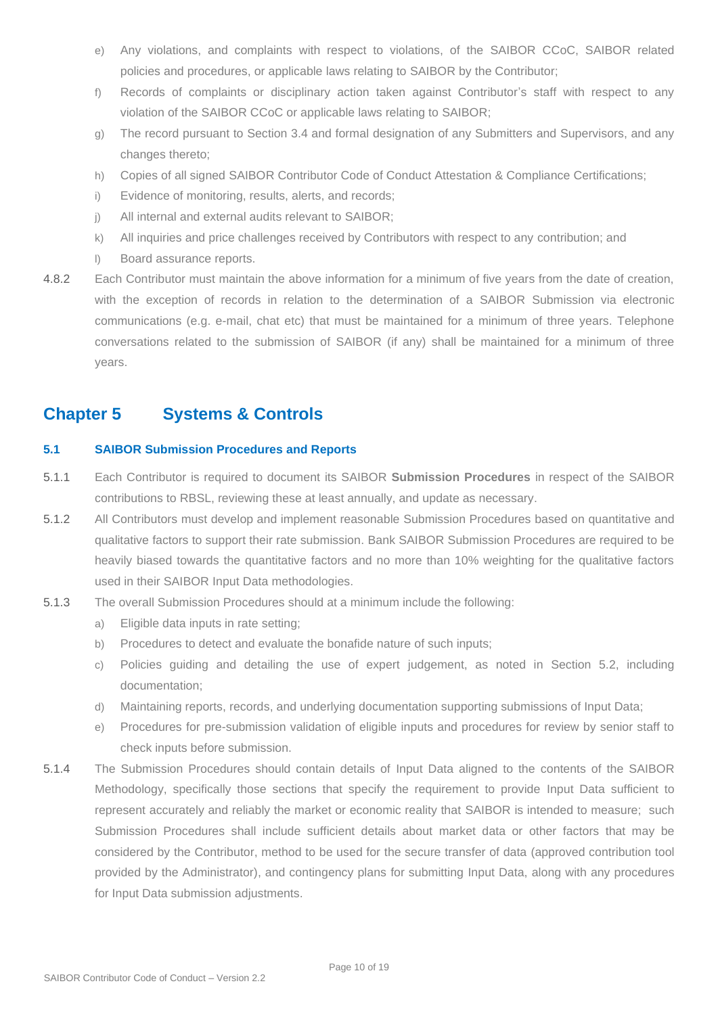- e) Any violations, and complaints with respect to violations, of the SAIBOR CCoC, SAIBOR related policies and procedures, or applicable laws relating to SAIBOR by the Contributor;
- f) Records of complaints or disciplinary action taken against Contributor's staff with respect to any violation of the SAIBOR CCoC or applicable laws relating to SAIBOR;
- g) The record pursuant to Section 3.4 and formal designation of any Submitters and Supervisors, and any changes thereto;
- h) Copies of all signed SAIBOR Contributor Code of Conduct Attestation & Compliance Certifications;
- i) Evidence of monitoring, results, alerts, and records;
- j) All internal and external audits relevant to SAIBOR;
- k) All inquiries and price challenges received by Contributors with respect to any contribution; and
- l) Board assurance reports.
- 4.8.2 Each Contributor must maintain the above information for a minimum of five years from the date of creation, with the exception of records in relation to the determination of a SAIBOR Submission via electronic communications (e.g. e-mail, chat etc) that must be maintained for a minimum of three years. Telephone conversations related to the submission of SAIBOR (if any) shall be maintained for a minimum of three years.

## <span id="page-9-0"></span>**Chapter 5 Systems & Controls**

#### <span id="page-9-1"></span>**5.1 SAIBOR Submission Procedures and Reports**

- 5.1.1 Each Contributor is required to document its SAIBOR **Submission Procedures** in respect of the SAIBOR contributions to RBSL, reviewing these at least annually, and update as necessary.
- 5.1.2 All Contributors must develop and implement reasonable Submission Procedures based on quantitative and qualitative factors to support their rate submission. Bank SAIBOR Submission Procedures are required to be heavily biased towards the quantitative factors and no more than 10% weighting for the qualitative factors used in their SAIBOR Input Data methodologies.
- 5.1.3 The overall Submission Procedures should at a minimum include the following:
	- a) Eligible data inputs in rate setting;
	- b) Procedures to detect and evaluate the bonafide nature of such inputs;
	- c) Policies guiding and detailing the use of expert judgement, as noted in Section 5.2, including documentation;
	- d) Maintaining reports, records, and underlying documentation supporting submissions of Input Data;
	- e) Procedures for pre-submission validation of eligible inputs and procedures for review by senior staff to check inputs before submission.
- 5.1.4 The Submission Procedures should contain details of Input Data aligned to the contents of the SAIBOR Methodology, specifically those sections that specify the requirement to provide Input Data sufficient to represent accurately and reliably the market or economic reality that SAIBOR is intended to measure; such Submission Procedures shall include sufficient details about market data or other factors that may be considered by the Contributor, method to be used for the secure transfer of data (approved contribution tool provided by the Administrator), and contingency plans for submitting Input Data, along with any procedures for Input Data submission adjustments.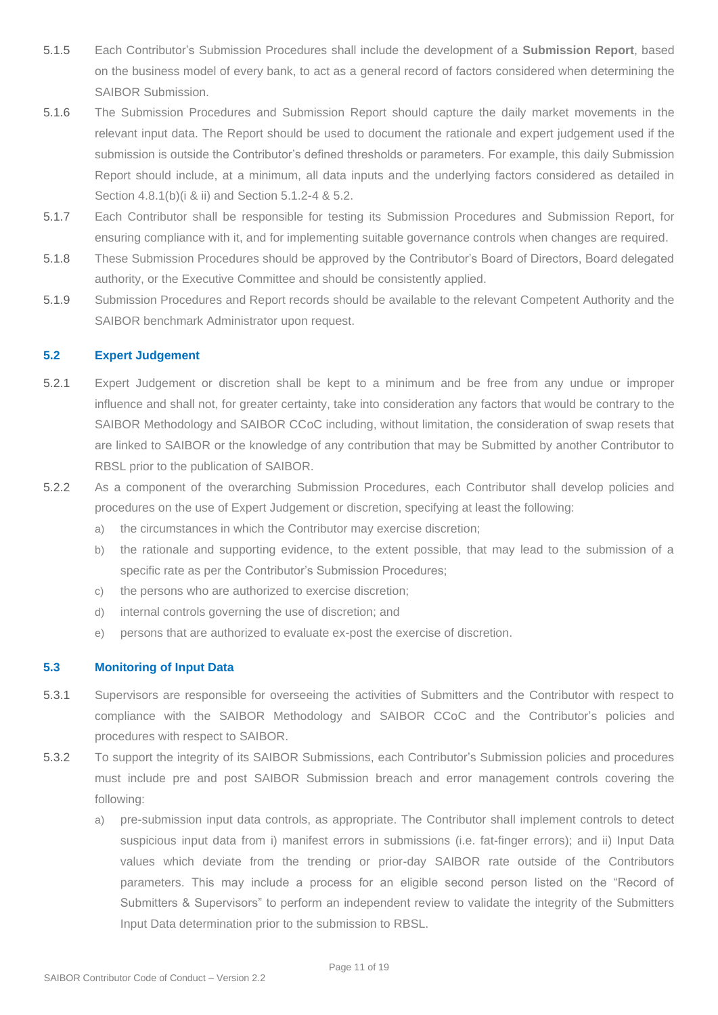- 5.1.5 Each Contributor's Submission Procedures shall include the development of a **Submission Report**, based on the business model of every bank, to act as a general record of factors considered when determining the SAIBOR Submission.
- 5.1.6 The Submission Procedures and Submission Report should capture the daily market movements in the relevant input data. The Report should be used to document the rationale and expert judgement used if the submission is outside the Contributor's defined thresholds or parameters. For example, this daily Submission Report should include, at a minimum, all data inputs and the underlying factors considered as detailed in Section 4.8.1(b)(i & ii) and Section 5.1.2-4 & 5.2.
- 5.1.7 Each Contributor shall be responsible for testing its Submission Procedures and Submission Report, for ensuring compliance with it, and for implementing suitable governance controls when changes are required.
- 5.1.8 These Submission Procedures should be approved by the Contributor's Board of Directors, Board delegated authority, or the Executive Committee and should be consistently applied.
- 5.1.9 Submission Procedures and Report records should be available to the relevant Competent Authority and the SAIBOR benchmark Administrator upon request.

#### <span id="page-10-0"></span>**5.2 Expert Judgement**

- 5.2.1 Expert Judgement or discretion shall be kept to a minimum and be free from any undue or improper influence and shall not, for greater certainty, take into consideration any factors that would be contrary to the SAIBOR Methodology and SAIBOR CCoC including, without limitation, the consideration of swap resets that are linked to SAIBOR or the knowledge of any contribution that may be Submitted by another Contributor to RBSL prior to the publication of SAIBOR.
- 5.2.2 As a component of the overarching Submission Procedures, each Contributor shall develop policies and procedures on the use of Expert Judgement or discretion, specifying at least the following:
	- a) the circumstances in which the Contributor may exercise discretion;
	- b) the rationale and supporting evidence, to the extent possible, that may lead to the submission of a specific rate as per the Contributor's Submission Procedures;
	- c) the persons who are authorized to exercise discretion;
	- d) internal controls governing the use of discretion; and
	- e) persons that are authorized to evaluate ex-post the exercise of discretion.

#### <span id="page-10-1"></span>**5.3 Monitoring of Input Data**

- 5.3.1 Supervisors are responsible for overseeing the activities of Submitters and the Contributor with respect to compliance with the SAIBOR Methodology and SAIBOR CCoC and the Contributor's policies and procedures with respect to SAIBOR.
- 5.3.2 To support the integrity of its SAIBOR Submissions, each Contributor's Submission policies and procedures must include pre and post SAIBOR Submission breach and error management controls covering the following:
	- a) pre-submission input data controls, as appropriate. The Contributor shall implement controls to detect suspicious input data from i) manifest errors in submissions (i.e. fat-finger errors); and ii) Input Data values which deviate from the trending or prior-day SAIBOR rate outside of the Contributors parameters. This may include a process for an eligible second person listed on the "Record of Submitters & Supervisors" to perform an independent review to validate the integrity of the Submitters Input Data determination prior to the submission to RBSL.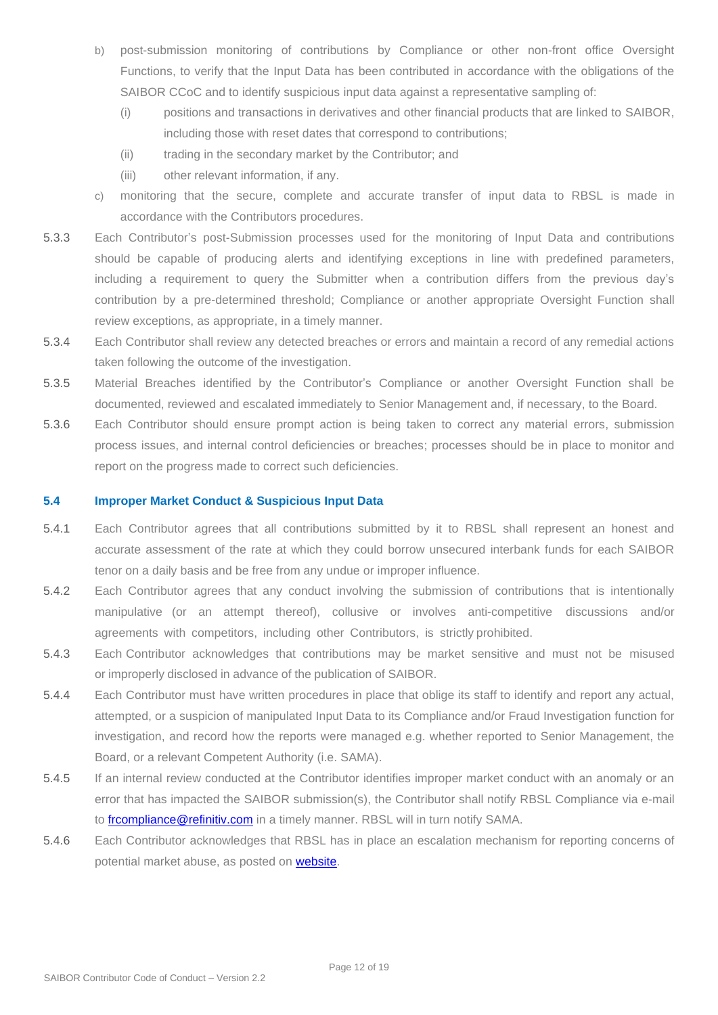- b) post-submission monitoring of contributions by Compliance or other non-front office Oversight Functions, to verify that the Input Data has been contributed in accordance with the obligations of the SAIBOR CCoC and to identify suspicious input data against a representative sampling of:
	- (i) positions and transactions in derivatives and other financial products that are linked to SAIBOR, including those with reset dates that correspond to contributions;
	- (ii) trading in the secondary market by the Contributor; and
	- (iii) other relevant information, if any.
- c) monitoring that the secure, complete and accurate transfer of input data to RBSL is made in accordance with the Contributors procedures.
- 5.3.3 Each Contributor's post-Submission processes used for the monitoring of Input Data and contributions should be capable of producing alerts and identifying exceptions in line with predefined parameters, including a requirement to query the Submitter when a contribution differs from the previous day's contribution by a pre-determined threshold; Compliance or another appropriate Oversight Function shall review exceptions, as appropriate, in a timely manner.
- 5.3.4 Each Contributor shall review any detected breaches or errors and maintain a record of any remedial actions taken following the outcome of the investigation.
- 5.3.5 Material Breaches identified by the Contributor's Compliance or another Oversight Function shall be documented, reviewed and escalated immediately to Senior Management and, if necessary, to the Board.
- 5.3.6 Each Contributor should ensure prompt action is being taken to correct any material errors, submission process issues, and internal control deficiencies or breaches; processes should be in place to monitor and report on the progress made to correct such deficiencies.

#### <span id="page-11-0"></span>**5.4 Improper Market Conduct & Suspicious Input Data**

- 5.4.1 Each Contributor agrees that all contributions submitted by it to RBSL shall represent an honest and accurate assessment of the rate at which they could borrow unsecured interbank funds for each SAIBOR tenor on a daily basis and be free from any undue or improper influence.
- 5.4.2 Each Contributor agrees that any conduct involving the submission of contributions that is intentionally manipulative (or an attempt thereof), collusive or involves anti-competitive discussions and/or agreements with competitors, including other Contributors, is strictly prohibited.
- 5.4.3 Each Contributor acknowledges that contributions may be market sensitive and must not be misused or improperly disclosed in advance of the publication of SAIBOR.
- 5.4.4 Each Contributor must have written procedures in place that oblige its staff to identify and report any actual, attempted, or a suspicion of manipulated Input Data to its Compliance and/or Fraud Investigation function for investigation, and record how the reports were managed e.g. whether reported to Senior Management, the Board, or a relevant Competent Authority (i.e. SAMA).
- 5.4.5 If an internal review conducted at the Contributor identifies improper market conduct with an anomaly or an error that has impacted the SAIBOR submission(s), the Contributor shall notify RBSL Compliance via e-mail to [frcompliance@refinitiv.com](mailto:frcompliance@refinitiv.com) in a timely manner. RBSL will in turn notify SAMA.
- 5.4.6 Each Contributor acknowledges that RBSL has in place an escalation mechanism for reporting concerns of potential market abuse, as posted on [website.](https://financial.thomsonreuters.com/content/dam/openweb/documents/pdf/financial/whistleblowing-statement-reporting-suspicious-activity.pdf)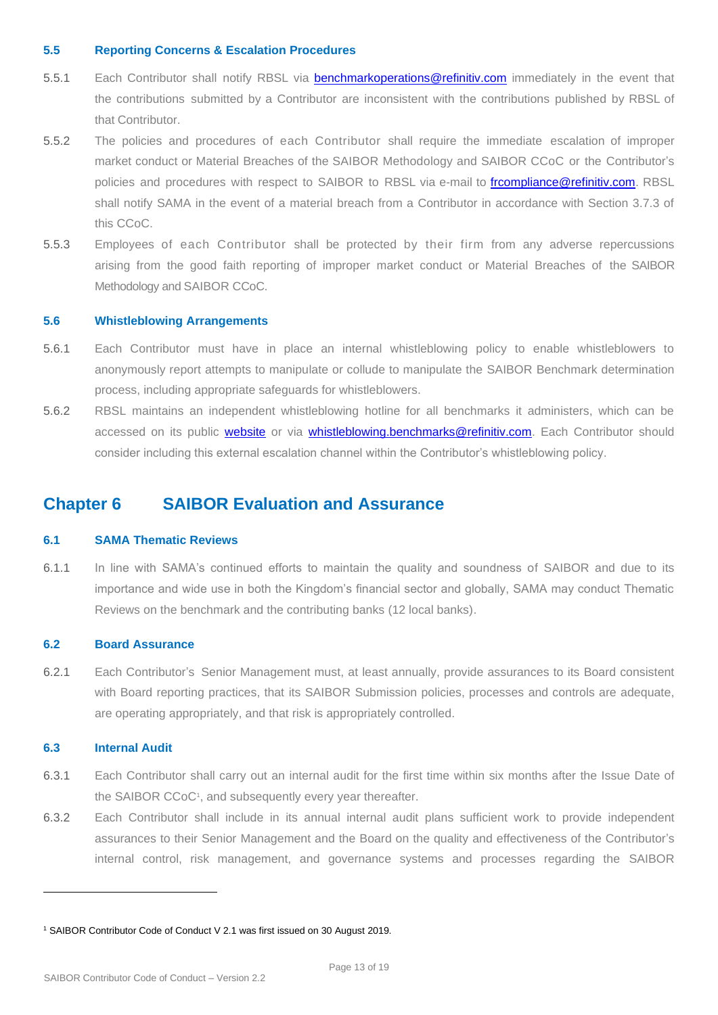#### <span id="page-12-0"></span>**5.5 Reporting Concerns & Escalation Procedures**

- 5.5.1 Each Contributor shall notify RBSL via [benchmarkoperations@refinitiv.com](mailto:benchmarkoperations@refinitiv.com) immediately in the event that the contributions submitted by a Contributor are inconsistent with the contributions published by RBSL of that Contributor.
- 5.5.2 The policies and procedures of each Contributor shall require the immediate escalation of improper market conduct or Material Breaches of the SAIBOR Methodology and SAIBOR CCoC or the Contributor's policies and procedures with respect to SAIBOR to RBSL via e-mail to [frcompliance@refinitiv.com.](mailto:frcompliance@refinitiv.com) RBSL shall notify SAMA in the event of a material breach from a Contributor in accordance with Section 3.7.3 of this CCoC.
- 5.5.3 Employees of each Contributor shall be protected by their firm from any adverse repercussions arising from the good faith reporting of improper market conduct or Material Breaches of the SAIBOR Methodology and SAIBOR CCoC.

#### <span id="page-12-1"></span>**5.6 Whistleblowing Arrangements**

- 5.6.1 Each Contributor must have in place an internal whistleblowing policy to enable whistleblowers to anonymously report attempts to manipulate or collude to manipulate the SAIBOR Benchmark determination process, including appropriate safeguards for whistleblowers.
- 5.6.2 RBSL maintains an independent whistleblowing hotline for all benchmarks it administers, which can be accessed on its public [website](https://www.refinitiv.com/content/dam/gl/en/documents/policies/whistleblowing-statement-reporting-suspicious-activity.pdf) or via [whistleblowing.benchmarks@refinitiv.com.](mailto:whistleblowing.benchmarks@refinitiv.com) Each Contributor should consider including this external escalation channel within the Contributor's whistleblowing policy.

### <span id="page-12-2"></span>**Chapter 6 SAIBOR Evaluation and Assurance**

#### <span id="page-12-3"></span>**6.1 SAMA Thematic Reviews**

6.1.1 In line with SAMA's continued efforts to maintain the quality and soundness of SAIBOR and due to its importance and wide use in both the Kingdom's financial sector and globally, SAMA may conduct Thematic Reviews on the benchmark and the contributing banks (12 local banks).

#### <span id="page-12-4"></span>**6.2 Board Assurance**

6.2.1 Each Contributor's Senior Management must, at least annually, provide assurances to its Board consistent with Board reporting practices, that its SAIBOR Submission policies, processes and controls are adequate, are operating appropriately, and that risk is appropriately controlled.

#### <span id="page-12-5"></span>**6.3 Internal Audit**

- 6.3.1 Each Contributor shall carry out an internal audit for the first time within six months after the Issue Date of the SAIBOR CCoC<sup>1</sup>, and subsequently every year thereafter.
- 6.3.2 Each Contributor shall include in its annual internal audit plans sufficient work to provide independent assurances to their Senior Management and the Board on the quality and effectiveness of the Contributor's internal control, risk management, and governance systems and processes regarding the SAIBOR

<sup>1</sup> SAIBOR Contributor Code of Conduct V 2.1 was first issued on 30 August 2019.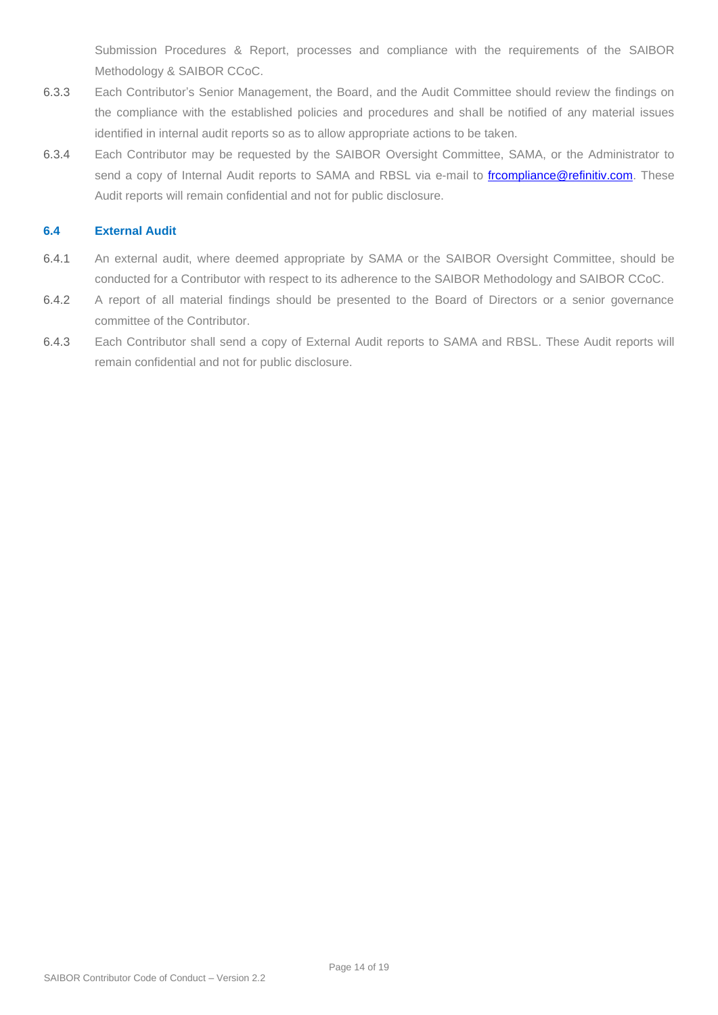Submission Procedures & Report, processes and compliance with the requirements of the SAIBOR Methodology & SAIBOR CCoC.

- 6.3.3 Each Contributor's Senior Management, the Board, and the Audit Committee should review the findings on the compliance with the established policies and procedures and shall be notified of any material issues identified in internal audit reports so as to allow appropriate actions to be taken.
- 6.3.4 Each Contributor may be requested by the SAIBOR Oversight Committee, SAMA, or the Administrator to send a copy of Internal Audit reports to SAMA and RBSL via e-mail to *frcompliance@refinitiv.com*. These Audit reports will remain confidential and not for public disclosure.

#### <span id="page-13-0"></span>**6.4 External Audit**

- 6.4.1 An external audit, where deemed appropriate by SAMA or the SAIBOR Oversight Committee, should be conducted for a Contributor with respect to its adherence to the SAIBOR Methodology and SAIBOR CCoC.
- 6.4.2 A report of all material findings should be presented to the Board of Directors or a senior governance committee of the Contributor.
- 6.4.3 Each Contributor shall send a copy of External Audit reports to SAMA and RBSL. These Audit reports will remain confidential and not for public disclosure.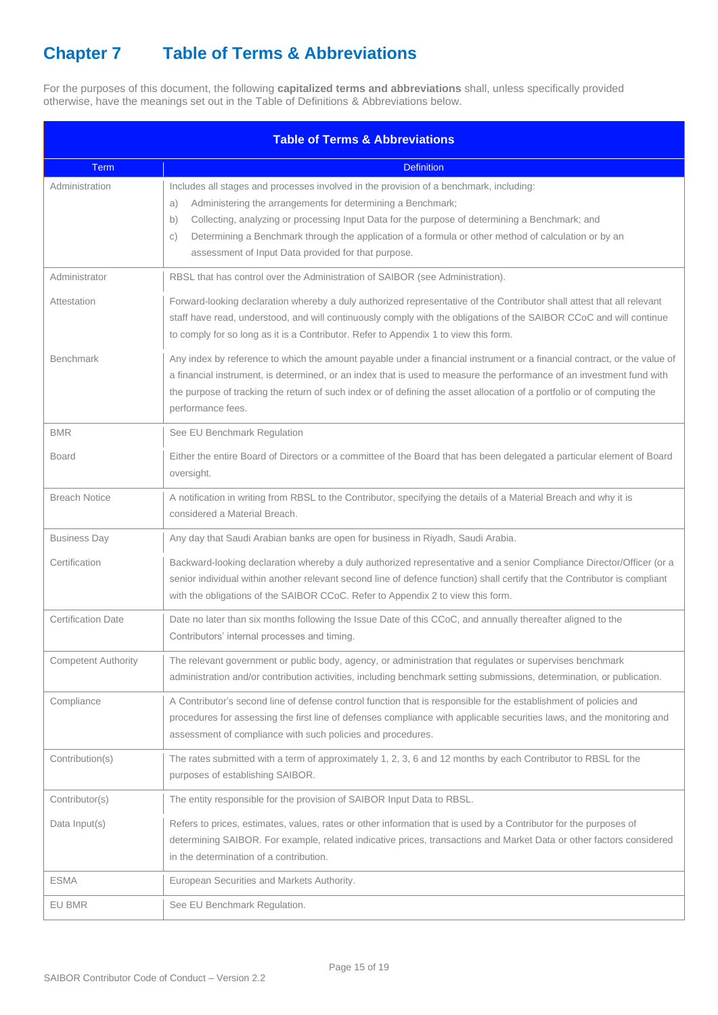## <span id="page-14-0"></span>**Chapter 7 Table of Terms & Abbreviations**

For the purposes of this document, the following **capitalized terms and abbreviations** shall, unless specifically provided otherwise, have the meanings set out in the Table of Definitions & Abbreviations below.

| <b>Table of Terms &amp; Abbreviations</b> |                                                                                                                                                                                                                                                                                                                                                                                                                                                 |  |  |  |  |
|-------------------------------------------|-------------------------------------------------------------------------------------------------------------------------------------------------------------------------------------------------------------------------------------------------------------------------------------------------------------------------------------------------------------------------------------------------------------------------------------------------|--|--|--|--|
| Term                                      | <b>Definition</b>                                                                                                                                                                                                                                                                                                                                                                                                                               |  |  |  |  |
| Administration                            | Includes all stages and processes involved in the provision of a benchmark, including:<br>Administering the arrangements for determining a Benchmark;<br>a)<br>Collecting, analyzing or processing Input Data for the purpose of determining a Benchmark; and<br>b)<br>Determining a Benchmark through the application of a formula or other method of calculation or by an<br>$\circ$ )<br>assessment of Input Data provided for that purpose. |  |  |  |  |
| Administrator                             | RBSL that has control over the Administration of SAIBOR (see Administration).                                                                                                                                                                                                                                                                                                                                                                   |  |  |  |  |
| Attestation                               | Forward-looking declaration whereby a duly authorized representative of the Contributor shall attest that all relevant<br>staff have read, understood, and will continuously comply with the obligations of the SAIBOR CCoC and will continue<br>to comply for so long as it is a Contributor. Refer to Appendix 1 to view this form.                                                                                                           |  |  |  |  |
| <b>Benchmark</b>                          | Any index by reference to which the amount payable under a financial instrument or a financial contract, or the value of<br>a financial instrument, is determined, or an index that is used to measure the performance of an investment fund with<br>the purpose of tracking the return of such index or of defining the asset allocation of a portfolio or of computing the<br>performance fees.                                               |  |  |  |  |
| <b>BMR</b>                                | See EU Benchmark Regulation                                                                                                                                                                                                                                                                                                                                                                                                                     |  |  |  |  |
| <b>Board</b>                              | Either the entire Board of Directors or a committee of the Board that has been delegated a particular element of Board<br>oversight.                                                                                                                                                                                                                                                                                                            |  |  |  |  |
| <b>Breach Notice</b>                      | A notification in writing from RBSL to the Contributor, specifying the details of a Material Breach and why it is<br>considered a Material Breach.                                                                                                                                                                                                                                                                                              |  |  |  |  |
| <b>Business Day</b>                       | Any day that Saudi Arabian banks are open for business in Riyadh, Saudi Arabia.                                                                                                                                                                                                                                                                                                                                                                 |  |  |  |  |
| Certification                             | Backward-looking declaration whereby a duly authorized representative and a senior Compliance Director/Officer (or a<br>senior individual within another relevant second line of defence function) shall certify that the Contributor is compliant<br>with the obligations of the SAIBOR CCoC. Refer to Appendix 2 to view this form.                                                                                                           |  |  |  |  |
| <b>Certification Date</b>                 | Date no later than six months following the Issue Date of this CCoC, and annually thereafter aligned to the<br>Contributors' internal processes and timing.                                                                                                                                                                                                                                                                                     |  |  |  |  |
| <b>Competent Authority</b>                | The relevant government or public body, agency, or administration that regulates or supervises benchmark<br>administration and/or contribution activities, including benchmark setting submissions, determination, or publication.                                                                                                                                                                                                              |  |  |  |  |
| Compliance                                | A Contributor's second line of defense control function that is responsible for the establishment of policies and<br>procedures for assessing the first line of defenses compliance with applicable securities laws, and the monitoring and<br>assessment of compliance with such policies and procedures.                                                                                                                                      |  |  |  |  |
| Contribution(s)                           | The rates submitted with a term of approximately 1, 2, 3, 6 and 12 months by each Contributor to RBSL for the<br>purposes of establishing SAIBOR.                                                                                                                                                                                                                                                                                               |  |  |  |  |
| Contributor(s)                            | The entity responsible for the provision of SAIBOR Input Data to RBSL.                                                                                                                                                                                                                                                                                                                                                                          |  |  |  |  |
| Data Input(s)                             | Refers to prices, estimates, values, rates or other information that is used by a Contributor for the purposes of<br>determining SAIBOR. For example, related indicative prices, transactions and Market Data or other factors considered<br>in the determination of a contribution.                                                                                                                                                            |  |  |  |  |
| <b>ESMA</b>                               | European Securities and Markets Authority.                                                                                                                                                                                                                                                                                                                                                                                                      |  |  |  |  |
| EU BMR                                    | See EU Benchmark Regulation.                                                                                                                                                                                                                                                                                                                                                                                                                    |  |  |  |  |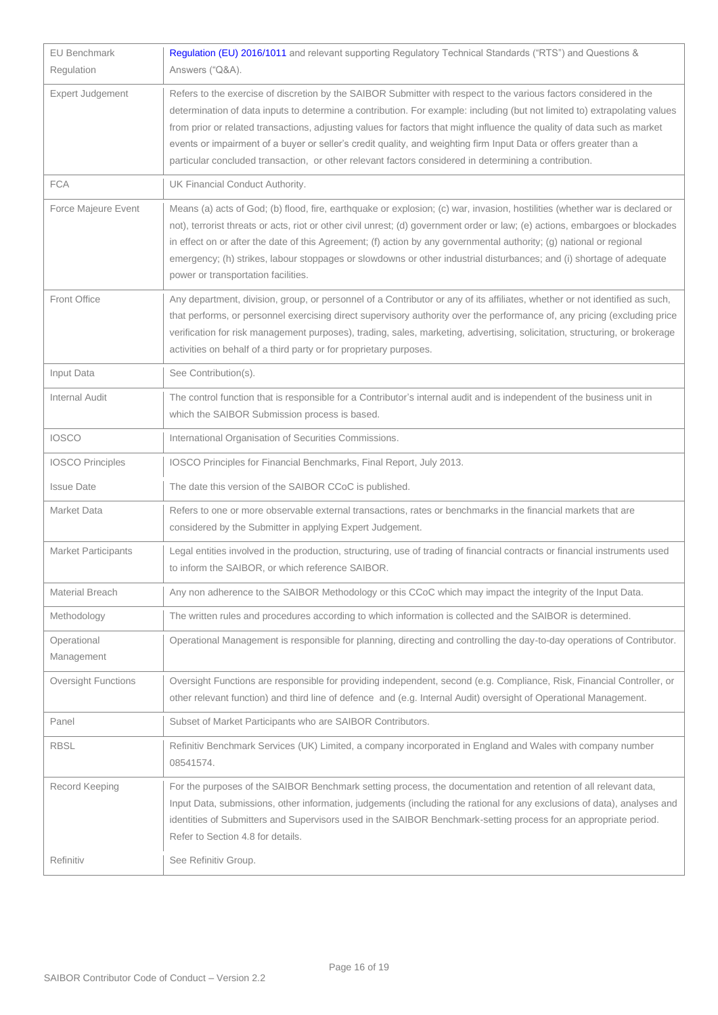| <b>EU Benchmark</b>        | Regulation (EU) 2016/1011 and relevant supporting Regulatory Technical Standards ("RTS") and Questions &                                                                                                                                                                                                                                                                                                                                                                                                                                                                                                    |  |  |
|----------------------------|-------------------------------------------------------------------------------------------------------------------------------------------------------------------------------------------------------------------------------------------------------------------------------------------------------------------------------------------------------------------------------------------------------------------------------------------------------------------------------------------------------------------------------------------------------------------------------------------------------------|--|--|
| Regulation                 | Answers ("Q&A).                                                                                                                                                                                                                                                                                                                                                                                                                                                                                                                                                                                             |  |  |
| Expert Judgement           | Refers to the exercise of discretion by the SAIBOR Submitter with respect to the various factors considered in the<br>determination of data inputs to determine a contribution. For example: including (but not limited to) extrapolating values<br>from prior or related transactions, adjusting values for factors that might influence the quality of data such as market<br>events or impairment of a buyer or seller's credit quality, and weighting firm Input Data or offers greater than a<br>particular concluded transaction, or other relevant factors considered in determining a contribution. |  |  |
| <b>FCA</b>                 | UK Financial Conduct Authority.                                                                                                                                                                                                                                                                                                                                                                                                                                                                                                                                                                             |  |  |
| Force Majeure Event        | Means (a) acts of God; (b) flood, fire, earthquake or explosion; (c) war, invasion, hostilities (whether war is declared or<br>not), terrorist threats or acts, riot or other civil unrest; (d) government order or law; (e) actions, embargoes or blockades<br>in effect on or after the date of this Agreement; (f) action by any governmental authority; (g) national or regional<br>emergency; (h) strikes, labour stoppages or slowdowns or other industrial disturbances; and (i) shortage of adequate<br>power or transportation facilities.                                                         |  |  |
| Front Office               | Any department, division, group, or personnel of a Contributor or any of its affiliates, whether or not identified as such,<br>that performs, or personnel exercising direct supervisory authority over the performance of, any pricing (excluding price<br>verification for risk management purposes), trading, sales, marketing, advertising, solicitation, structuring, or brokerage<br>activities on behalf of a third party or for proprietary purposes.                                                                                                                                               |  |  |
| Input Data                 | See Contribution(s).                                                                                                                                                                                                                                                                                                                                                                                                                                                                                                                                                                                        |  |  |
| <b>Internal Audit</b>      | The control function that is responsible for a Contributor's internal audit and is independent of the business unit in<br>which the SAIBOR Submission process is based.                                                                                                                                                                                                                                                                                                                                                                                                                                     |  |  |
| <b>IOSCO</b>               | International Organisation of Securities Commissions.                                                                                                                                                                                                                                                                                                                                                                                                                                                                                                                                                       |  |  |
| <b>IOSCO Principles</b>    | IOSCO Principles for Financial Benchmarks, Final Report, July 2013.                                                                                                                                                                                                                                                                                                                                                                                                                                                                                                                                         |  |  |
| <b>Issue Date</b>          | The date this version of the SAIBOR CCoC is published.                                                                                                                                                                                                                                                                                                                                                                                                                                                                                                                                                      |  |  |
| Market Data                | Refers to one or more observable external transactions, rates or benchmarks in the financial markets that are<br>considered by the Submitter in applying Expert Judgement.                                                                                                                                                                                                                                                                                                                                                                                                                                  |  |  |
| <b>Market Participants</b> | Legal entities involved in the production, structuring, use of trading of financial contracts or financial instruments used<br>to inform the SAIBOR, or which reference SAIBOR.                                                                                                                                                                                                                                                                                                                                                                                                                             |  |  |
| Material Breach            | Any non adherence to the SAIBOR Methodology or this CCoC which may impact the integrity of the Input Data.                                                                                                                                                                                                                                                                                                                                                                                                                                                                                                  |  |  |
| Methodology                | The written rules and procedures according to which information is collected and the SAIBOR is determined.                                                                                                                                                                                                                                                                                                                                                                                                                                                                                                  |  |  |
| Operational<br>Management  | Operational Management is responsible for planning, directing and controlling the day-to-day operations of Contributor.                                                                                                                                                                                                                                                                                                                                                                                                                                                                                     |  |  |
| <b>Oversight Functions</b> | Oversight Functions are responsible for providing independent, second (e.g. Compliance, Risk, Financial Controller, or<br>other relevant function) and third line of defence and (e.g. Internal Audit) oversight of Operational Management.                                                                                                                                                                                                                                                                                                                                                                 |  |  |
| Panel                      | Subset of Market Participants who are SAIBOR Contributors.                                                                                                                                                                                                                                                                                                                                                                                                                                                                                                                                                  |  |  |
| <b>RBSL</b>                | Refinitiv Benchmark Services (UK) Limited, a company incorporated in England and Wales with company number<br>08541574.                                                                                                                                                                                                                                                                                                                                                                                                                                                                                     |  |  |
| Record Keeping             | For the purposes of the SAIBOR Benchmark setting process, the documentation and retention of all relevant data,<br>Input Data, submissions, other information, judgements (including the rational for any exclusions of data), analyses and<br>identities of Submitters and Supervisors used in the SAIBOR Benchmark-setting process for an appropriate period.<br>Refer to Section 4.8 for details.                                                                                                                                                                                                        |  |  |
| Refinitiv                  | See Refinitiv Group.                                                                                                                                                                                                                                                                                                                                                                                                                                                                                                                                                                                        |  |  |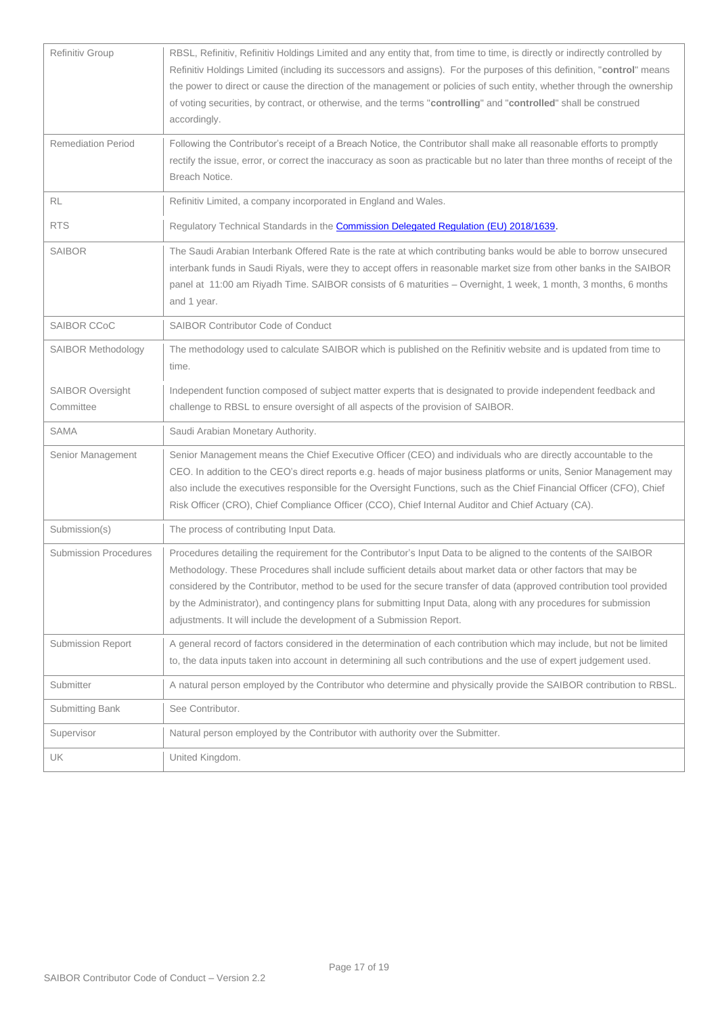| Refinitiv Group                      | RBSL, Refinitiv, Refinitiv Holdings Limited and any entity that, from time to time, is directly or indirectly controlled by<br>Refinitiv Holdings Limited (including its successors and assigns). For the purposes of this definition, "control" means<br>the power to direct or cause the direction of the management or policies of such entity, whether through the ownership<br>of voting securities, by contract, or otherwise, and the terms "controlling" and "controlled" shall be construed<br>accordingly.                                    |
|--------------------------------------|---------------------------------------------------------------------------------------------------------------------------------------------------------------------------------------------------------------------------------------------------------------------------------------------------------------------------------------------------------------------------------------------------------------------------------------------------------------------------------------------------------------------------------------------------------|
| <b>Remediation Period</b>            | Following the Contributor's receipt of a Breach Notice, the Contributor shall make all reasonable efforts to promptly<br>rectify the issue, error, or correct the inaccuracy as soon as practicable but no later than three months of receipt of the<br>Breach Notice.                                                                                                                                                                                                                                                                                  |
| <b>RL</b>                            | Refinitiv Limited, a company incorporated in England and Wales.                                                                                                                                                                                                                                                                                                                                                                                                                                                                                         |
| <b>RTS</b>                           | Regulatory Technical Standards in the <b>Commission Delegated Regulation (EU) 2018/1639.</b>                                                                                                                                                                                                                                                                                                                                                                                                                                                            |
| <b>SAIBOR</b>                        | The Saudi Arabian Interbank Offered Rate is the rate at which contributing banks would be able to borrow unsecured<br>interbank funds in Saudi Riyals, were they to accept offers in reasonable market size from other banks in the SAIBOR<br>panel at 11:00 am Riyadh Time. SAIBOR consists of 6 maturities - Overnight, 1 week, 1 month, 3 months, 6 months<br>and 1 year.                                                                                                                                                                            |
| SAIBOR CCoC                          | <b>SAIBOR Contributor Code of Conduct</b>                                                                                                                                                                                                                                                                                                                                                                                                                                                                                                               |
| <b>SAIBOR Methodology</b>            | The methodology used to calculate SAIBOR which is published on the Refinitiv website and is updated from time to<br>time.                                                                                                                                                                                                                                                                                                                                                                                                                               |
| <b>SAIBOR Oversight</b><br>Committee | Independent function composed of subject matter experts that is designated to provide independent feedback and<br>challenge to RBSL to ensure oversight of all aspects of the provision of SAIBOR.                                                                                                                                                                                                                                                                                                                                                      |
| <b>SAMA</b>                          | Saudi Arabian Monetary Authority.                                                                                                                                                                                                                                                                                                                                                                                                                                                                                                                       |
| Senior Management                    | Senior Management means the Chief Executive Officer (CEO) and individuals who are directly accountable to the<br>CEO. In addition to the CEO's direct reports e.g. heads of major business platforms or units, Senior Management may<br>also include the executives responsible for the Oversight Functions, such as the Chief Financial Officer (CFO), Chief<br>Risk Officer (CRO), Chief Compliance Officer (CCO), Chief Internal Auditor and Chief Actuary (CA).                                                                                     |
| Submission(s)                        | The process of contributing Input Data.                                                                                                                                                                                                                                                                                                                                                                                                                                                                                                                 |
| <b>Submission Procedures</b>         | Procedures detailing the requirement for the Contributor's Input Data to be aligned to the contents of the SAIBOR<br>Methodology. These Procedures shall include sufficient details about market data or other factors that may be<br>considered by the Contributor, method to be used for the secure transfer of data (approved contribution tool provided<br>by the Administrator), and contingency plans for submitting Input Data, along with any procedures for submission<br>adjustments. It will include the development of a Submission Report. |
| Submission Report                    | A general record of factors considered in the determination of each contribution which may include, but not be limited<br>to, the data inputs taken into account in determining all such contributions and the use of expert judgement used.                                                                                                                                                                                                                                                                                                            |
| Submitter                            | A natural person employed by the Contributor who determine and physically provide the SAIBOR contribution to RBSL.                                                                                                                                                                                                                                                                                                                                                                                                                                      |
| Submitting Bank                      | See Contributor.                                                                                                                                                                                                                                                                                                                                                                                                                                                                                                                                        |
| Supervisor                           | Natural person employed by the Contributor with authority over the Submitter.                                                                                                                                                                                                                                                                                                                                                                                                                                                                           |
| UK                                   | United Kingdom.                                                                                                                                                                                                                                                                                                                                                                                                                                                                                                                                         |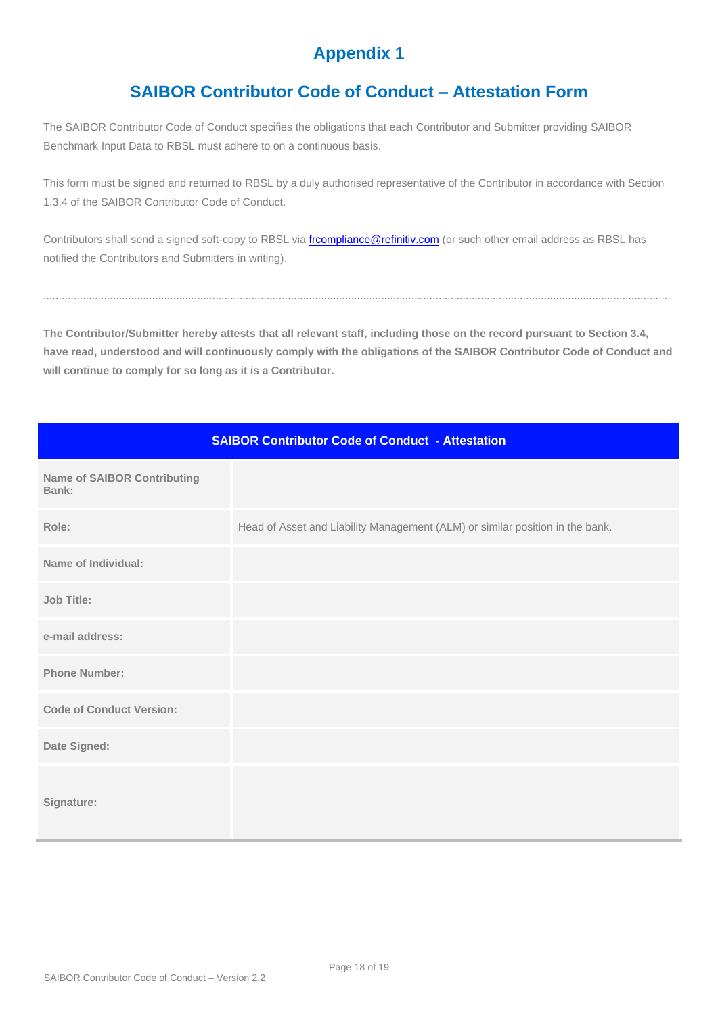## **Appendix 1**

## **SAIBOR Contributor Code of Conduct – Attestation Form**

<span id="page-17-1"></span><span id="page-17-0"></span>The SAIBOR Contributor Code of Conduct specifies the obligations that each Contributor and Submitter providing SAIBOR Benchmark Input Data to RBSL must adhere to on a continuous basis.

This form must be signed and returned to RBSL by a duly authorised representative of the Contributor in accordance with Section 1.3.4 of the SAIBOR Contributor Code of Conduct.

Contributors shall send a signed soft-copy to RBSL via [frcompliance@refinitiv.com](mailto:frcompliance@refinitiv.com) (or such other email address as RBSL has notified the Contributors and Submitters in writing).

**The Contributor/Submitter hereby attests that all relevant staff, including those on the record pursuant to Section 3.4, have read, understood and will continuously comply with the obligations of the SAIBOR Contributor Code of Conduct and will continue to comply for so long as it is a Contributor.**

................................................................................................................................................................................................................

| <b>SAIBOR Contributor Code of Conduct - Attestation</b> |                                                                               |  |  |  |
|---------------------------------------------------------|-------------------------------------------------------------------------------|--|--|--|
| <b>Name of SAIBOR Contributing</b><br>Bank:             |                                                                               |  |  |  |
| Role:                                                   | Head of Asset and Liability Management (ALM) or similar position in the bank. |  |  |  |
| Name of Individual:                                     |                                                                               |  |  |  |
| <b>Job Title:</b>                                       |                                                                               |  |  |  |
| e-mail address:                                         |                                                                               |  |  |  |
| <b>Phone Number:</b>                                    |                                                                               |  |  |  |
| <b>Code of Conduct Version:</b>                         |                                                                               |  |  |  |
| Date Signed:                                            |                                                                               |  |  |  |
| Signature:                                              |                                                                               |  |  |  |